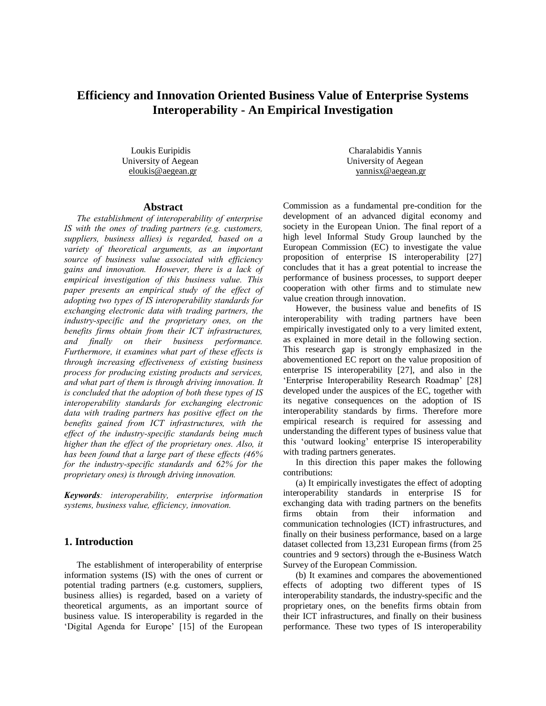# **Efficiency and Innovation Oriented Business Value of Enterprise Systems Interoperability - An Empirical Investigation**

#### **Abstract**

*The establishment of interoperability of enterprise IS with the ones of trading partners (e.g. customers, suppliers, business allies) is regarded, based on a variety of theoretical arguments, as an important source of business value associated with efficiency gains and innovation. However, there is a lack of empirical investigation of this business value. This paper presents an empirical study of the effect of adopting two types of IS interoperability standards for exchanging electronic data with trading partners, the industry-specific and the proprietary ones, on the benefits firms obtain from their ICT infrastructures, and finally on their business performance. Furthermore, it examines what part of these effects is through increasing effectiveness of existing business process for producing existing products and services, and what part of them is through driving innovation. It is concluded that the adoption of both these types of IS interoperability standards for exchanging electronic data with trading partners has positive effect on the benefits gained from ICT infrastructures, with the effect of the industry-specific standards being much higher than the effect of the proprietary ones. Also, it has been found that a large part of these effects (46% for the industry-specific standards and 62% for the proprietary ones) is through driving innovation.*

*Keywords: interoperability, enterprise information systems, business value, efficiency, innovation.*

### **1. Introduction**

The establishment of interoperability of enterprise information systems (IS) with the ones of current or potential trading partners (e.g. customers, suppliers, business allies) is regarded, based on a variety of theoretical arguments, as an important source of business value. IS interoperability is regarded in the "Digital Agenda for Europe" [15] of the European

 Loukis Euripidis Charalabidis Yannis University of Aegean University of Aegean eloukis@aegean.gr yannisx@aegean.gr

> Commission as a fundamental pre-condition for the development of an advanced digital economy and society in the European Union. The final report of a high level Informal Study Group launched by the European Commission (EC) to investigate the value proposition of enterprise IS interoperability [27] concludes that it has a great potential to increase the performance of business processes, to support deeper cooperation with other firms and to stimulate new value creation through innovation.

> However, the business value and benefits of IS interoperability with trading partners have been empirically investigated only to a very limited extent, as explained in more detail in the following section. This research gap is strongly emphasized in the abovementioned EC report on the value proposition of enterprise IS interoperability [27], and also in the 'Enterprise Interoperability Research Roadmap' [28] developed under the auspices of the EC, together with its negative consequences on the adoption of IS interoperability standards by firms. Therefore more empirical research is required for assessing and understanding the different types of business value that this "outward looking" enterprise IS interoperability with trading partners generates.

> In this direction this paper makes the following contributions:

> (a) It empirically investigates the effect of adopting interoperability standards in enterprise IS for exchanging data with trading partners on the benefits firms obtain from their information and communication technologies (ICT) infrastructures, and finally on their business performance, based on a large dataset collected from 13,231 European firms (from 25 countries and 9 sectors) through the e-Business Watch Survey of the European Commission.

> (b) It examines and compares the abovementioned effects of adopting two different types of IS interoperability standards, the industry-specific and the proprietary ones, on the benefits firms obtain from their ICT infrastructures, and finally on their business performance. These two types of IS interoperability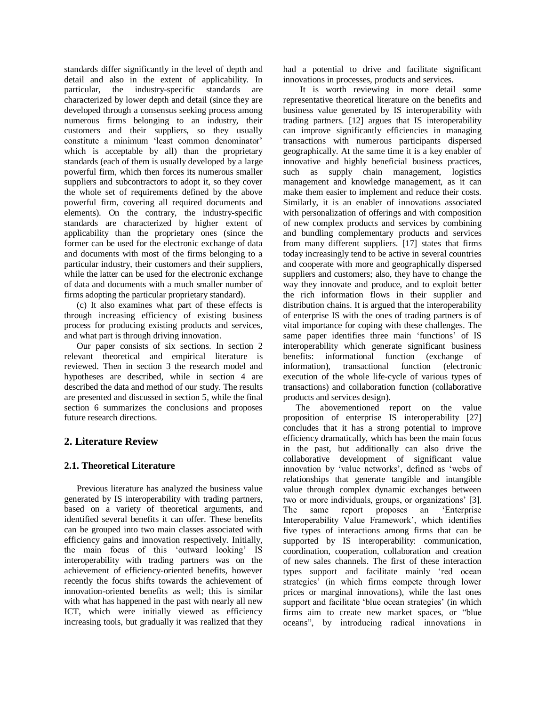standards differ significantly in the level of depth and detail and also in the extent of applicability. In particular, the industry-specific standards are characterized by lower depth and detail (since they are developed through a consensus seeking process among numerous firms belonging to an industry, their customers and their suppliers, so they usually constitute a minimum 'least common denominator' which is acceptable by all) than the proprietary standards (each of them is usually developed by a large powerful firm, which then forces its numerous smaller suppliers and subcontractors to adopt it, so they cover the whole set of requirements defined by the above powerful firm, covering all required documents and elements). On the contrary, the industry-specific standards are characterized by higher extent of applicability than the proprietary ones (since the former can be used for the electronic exchange of data and documents with most of the firms belonging to a particular industry, their customers and their suppliers, while the latter can be used for the electronic exchange of data and documents with a much smaller number of firms adopting the particular proprietary standard).

(c) It also examines what part of these effects is through increasing efficiency of existing business process for producing existing products and services, and what part is through driving innovation.

Our paper consists of six sections. In section 2 relevant theoretical and empirical literature is reviewed. Then in section 3 the research model and hypotheses are described, while in section 4 are described the data and method of our study. The results are presented and discussed in section 5, while the final section 6 summarizes the conclusions and proposes future research directions.

## **2. Literature Review**

## **2.1. Theoretical Literature**

Previous literature has analyzed the business value generated by IS interoperability with trading partners, based on a variety of theoretical arguments, and identified several benefits it can offer. These benefits can be grouped into two main classes associated with efficiency gains and innovation respectively. Initially, the main focus of this "outward looking" IS interoperability with trading partners was on the achievement of efficiency-oriented benefits, however recently the focus shifts towards the achievement of innovation-oriented benefits as well; this is similar with what has happened in the past with nearly all new ICT, which were initially viewed as efficiency increasing tools, but gradually it was realized that they had a potential to drive and facilitate significant innovations in processes, products and services.

It is worth reviewing in more detail some representative theoretical literature on the benefits and business value generated by IS interoperability with trading partners. [12] argues that IS interoperability can improve significantly efficiencies in managing transactions with numerous participants dispersed geographically. At the same time it is a key enabler of innovative and highly beneficial business practices, such as supply chain management, logistics management and knowledge management, as it can make them easier to implement and reduce their costs. Similarly, it is an enabler of innovations associated with personalization of offerings and with composition of new complex products and services by combining and bundling complementary products and services from many different suppliers. [17] states that firms today increasingly tend to be active in several countries and cooperate with more and geographically dispersed suppliers and customers; also, they have to change the way they innovate and produce, and to exploit better the rich information flows in their supplier and distribution chains. It is argued that the interoperability of enterprise IS with the ones of trading partners is of vital importance for coping with these challenges. The same paper identifies three main 'functions' of IS interoperability which generate significant business benefits: informational function (exchange of information), transactional function (electronic execution of the whole life-cycle of various types of transactions) and collaboration function (collaborative products and services design).

The abovementioned report on the value proposition of enterprise IS interoperability [27] concludes that it has a strong potential to improve efficiency dramatically, which has been the main focus in the past, but additionally can also drive the collaborative development of significant value innovation by "value networks", defined as "webs of relationships that generate tangible and intangible value through complex dynamic exchanges between two or more individuals, groups, or organizations' [3]. The same report proposes an "Enterprise Interoperability Value Framework", which identifies five types of interactions among firms that can be supported by IS interoperability: communication, coordination, cooperation, collaboration and creation of new sales channels. The first of these interaction types support and facilitate mainly "red ocean strategies" (in which firms compete through lower prices or marginal innovations), while the last ones support and facilitate 'blue ocean strategies' (in which firms aim to create new market spaces, or "blue oceans", by introducing radical innovations in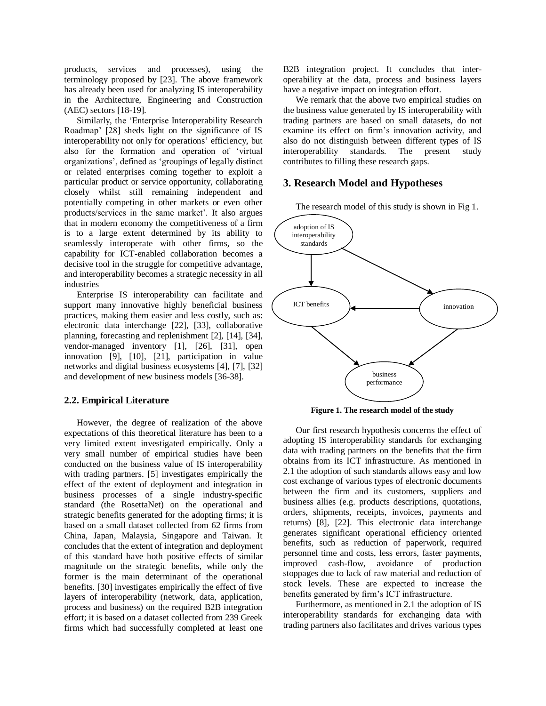products, services and processes), using the terminology proposed by [23]. The above framework has already been used for analyzing IS interoperability in the Architecture, Engineering and Construction (AEC) sectors [18-19].

Similarly, the "Enterprise Interoperability Research Roadmap" [28] sheds light on the significance of IS interoperability not only for operations' efficiency, but also for the formation and operation of "virtual organizations", defined as "groupings of legally distinct or related enterprises coming together to exploit a particular product or service opportunity, collaborating closely whilst still remaining independent and potentially competing in other markets or even other products/services in the same market'. It also argues that in modern economy the competitiveness of a firm is to a large extent determined by its ability to seamlessly interoperate with other firms, so the capability for ICT-enabled collaboration becomes a decisive tool in the struggle for competitive advantage, and interoperability becomes a strategic necessity in all industries

Enterprise IS interoperability can facilitate and support many innovative highly beneficial business practices, making them easier and less costly, such as: electronic data interchange [22], [33], collaborative planning, forecasting and replenishment [2], [14], [34], vendor-managed inventory [1], [26], [31], open innovation [9], [10], [21], participation in value networks and digital business ecosystems [4], [7], [32] and development of new business models [36-38].

#### **2.2. Empirical Literature**

However, the degree of realization of the above expectations of this theoretical literature has been to a very limited extent investigated empirically. Only a very small number of empirical studies have been conducted on the business value of IS interoperability with trading partners. [5] investigates empirically the effect of the extent of deployment and integration in business processes of a single industry-specific standard (the RosettaNet) on the operational and strategic benefits generated for the adopting firms; it is based on a small dataset collected from 62 firms from China, Japan, Malaysia, Singapore and Taiwan. It concludes that the extent of integration and deployment of this standard have both positive effects of similar magnitude on the strategic benefits, while only the former is the main determinant of the operational benefits. [30] investigates empirically the effect of five layers of interoperability (network, data, application, process and business) on the required B2B integration effort; it is based on a dataset collected from 239 Greek firms which had successfully completed at least one

B2B integration project. It concludes that interoperability at the data, process and business layers have a negative impact on integration effort.

We remark that the above two empirical studies on the business value generated by IS interoperability with trading partners are based on small datasets, do not examine its effect on firm"s innovation activity, and also do not distinguish between different types of IS interoperability standards. The present study contributes to filling these research gaps.

### **3. Research Model and Hypotheses**

The research model of this study is shown in Fig 1.



**Figure 1. The research model of the study**

Our first research hypothesis concerns the effect of adopting IS interoperability standards for exchanging data with trading partners on the benefits that the firm obtains from its ICT infrastructure. As mentioned in 2.1 the adoption of such standards allows easy and low cost exchange of various types of electronic documents between the firm and its customers, suppliers and business allies (e.g. products descriptions, quotations, orders, shipments, receipts, invoices, payments and returns) [8], [22]. This electronic data interchange generates significant operational efficiency oriented benefits, such as reduction of paperwork, required personnel time and costs, less errors, faster payments, improved cash-flow, avoidance of production stoppages due to lack of raw material and reduction of stock levels. These are expected to increase the benefits generated by firm"s ICT infrastructure.

Furthermore, as mentioned in 2.1 the adoption of IS interoperability standards for exchanging data with trading partners also facilitates and drives various types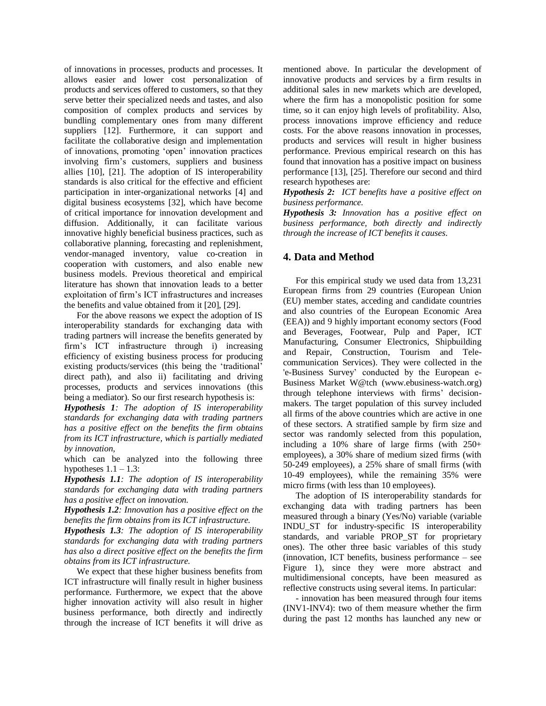of innovations in processes, products and processes. It allows easier and lower cost personalization of products and services offered to customers, so that they serve better their specialized needs and tastes, and also composition of complex products and services by bundling complementary ones from many different suppliers [12]. Furthermore, it can support and facilitate the collaborative design and implementation of innovations, promoting "open" innovation practices involving firm"s customers, suppliers and business allies [10], [21]. The adoption of IS interoperability standards is also critical for the effective and efficient participation in inter-organizational networks [4] and digital business ecosystems [32], which have become of critical importance for innovation development and diffusion. Additionally, it can facilitate various innovative highly beneficial business practices, such as collaborative planning, forecasting and replenishment, vendor-managed inventory, value co-creation in cooperation with customers, and also enable new business models. Previous theoretical and empirical literature has shown that innovation leads to a better exploitation of firm"s ICT infrastructures and increases the benefits and value obtained from it [20], [29].

For the above reasons we expect the adoption of IS interoperability standards for exchanging data with trading partners will increase the benefits generated by firm"s ICT infrastructure through i) increasing efficiency of existing business process for producing existing products/services (this being the 'traditional' direct path), and also ii) facilitating and driving processes, products and services innovations (this being a mediator). So our first research hypothesis is:

*Hypothesis 1: The adoption of IS interoperability standards for exchanging data with trading partners has a positive effect on the benefits the firm obtains from its ICT infrastructure, which is partially mediated by innovation,*

which can be analyzed into the following three hypotheses  $1.1 - 1.3$ :

*Hypothesis 1.1: The adoption of IS interoperability standards for exchanging data with trading partners has a positive effect on innovation.*

*Hypothesis 1.2: Innovation has a positive effect on the benefits the firm obtains from its ICT infrastructure.*

*Hypothesis 1.3: The adoption of IS interoperability standards for exchanging data with trading partners has also a direct positive effect on the benefits the firm obtains from its ICT infrastructure.*

We expect that these higher business benefits from ICT infrastructure will finally result in higher business performance. Furthermore, we expect that the above higher innovation activity will also result in higher business performance, both directly and indirectly through the increase of ICT benefits it will drive as

mentioned above. In particular the development of innovative products and services by a firm results in additional sales in new markets which are developed, where the firm has a monopolistic position for some time, so it can enjoy high levels of profitability. Also, process innovations improve efficiency and reduce costs. For the above reasons innovation in processes, products and services will result in higher business performance. Previous empirical research on this has found that innovation has a positive impact on business performance [13], [25]. Therefore our second and third research hypotheses are:

*Hypothesis 2: ICT benefits have a positive effect on business performance.*

*Hypothesis 3: Innovation has a positive effect on business performance, both directly and indirectly through the increase of ICT benefits it causes*.

## **4. Data and Method**

For this empirical study we used data from 13,231 European firms from 29 countries (European Union (EU) member states, acceding and candidate countries and also countries of the European Economic Area (EEA)) and 9 highly important economy sectors (Food and Beverages, Footwear, Pulp and Paper, ICT Manufacturing, Consumer Electronics, Shipbuilding and Repair, Construction, Tourism and Telecommunication Services). They were collected in the 'e-Business Survey" conducted by the European e-Business Market W@tch [\(www.ebusiness-watch.org\)](http://www.ebusiness-watch.org/) through telephone interviews with firms' decisionmakers. The target population of this survey included all firms of the above countries which are active in one of these sectors. A stratified sample by firm size and sector was randomly selected from this population, including a 10% share of large firms (with 250+ employees), a 30% share of medium sized firms (with 50-249 employees), a 25% share of small firms (with 10-49 employees), while the remaining 35% were micro firms (with less than 10 employees).

The adoption of IS interoperability standards for exchanging data with trading partners has been measured through a binary (Yes/No) variable (variable INDU\_ST for industry-specific IS interoperability standards, and variable PROP\_ST for proprietary ones). The other three basic variables of this study (innovation, ICT benefits, business performance – see Figure 1), since they were more abstract and multidimensional concepts, have been measured as reflective constructs using several items. In particular:

- innovation has been measured through four items (INV1-INV4): two of them measure whether the firm during the past 12 months has launched any new or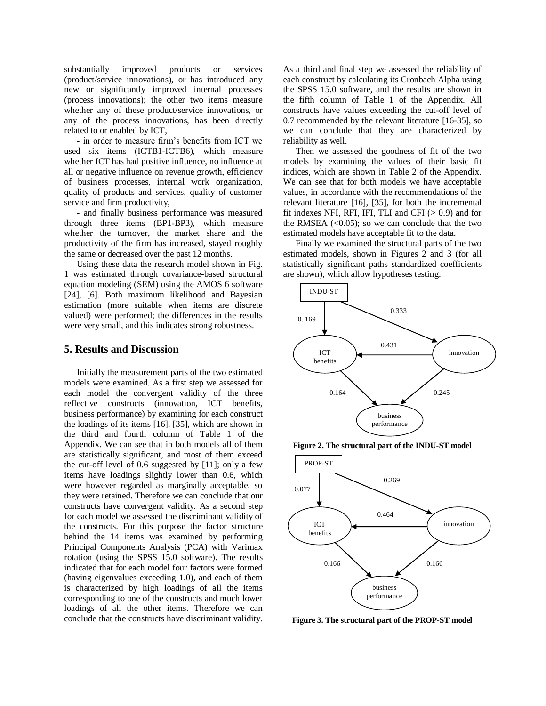substantially improved products or services (product/service innovations), or has introduced any new or significantly improved internal processes (process innovations); the other two items measure whether any of these product/service innovations, or any of the process innovations, has been directly related to or enabled by ICT,

- in order to measure firm"s benefits from ICT we used six items (ICTB1-ICTB6), which measure whether ICT has had positive influence, no influence at all or negative influence on revenue growth, efficiency of business processes, internal work organization, quality of products and services, quality of customer service and firm productivity,

- and finally business performance was measured through three items (BP1-BP3), which measure whether the turnover, the market share and the productivity of the firm has increased, stayed roughly the same or decreased over the past 12 months.

Using these data the research model shown in Fig. 1 was estimated through covariance-based structural equation modeling (SEM) using the AMOS 6 software [24], [6]. Both maximum likelihood and Bayesian estimation (more suitable when items are discrete valued) were performed; the differences in the results were very small, and this indicates strong robustness.

### **5. Results and Discussion**

Initially the measurement parts of the two estimated models were examined. As a first step we assessed for each model the convergent validity of the three reflective constructs (innovation, ICT benefits, business performance) by examining for each construct the loadings of its items [16], [35], which are shown in the third and fourth column of Table 1 of the Appendix. We can see that in both models all of them are statistically significant, and most of them exceed the cut-off level of 0.6 suggested by [11]; only a few items have loadings slightly lower than 0.6, which were however regarded as marginally acceptable, so they were retained. Therefore we can conclude that our constructs have convergent validity. As a second step for each model we assessed the discriminant validity of the constructs. For this purpose the factor structure behind the 14 items was examined by performing Principal Components Analysis (PCA) with Varimax rotation (using the SPSS 15.0 software). The results indicated that for each model four factors were formed (having eigenvalues exceeding 1.0), and each of them is characterized by high loadings of all the items corresponding to one of the constructs and much lower loadings of all the other items. Therefore we can conclude that the constructs have discriminant validity.

As a third and final step we assessed the reliability of each construct by calculating its Cronbach Alpha using the SPSS 15.0 software, and the results are shown in the fifth column of Table 1 of the Appendix. All constructs have values exceeding the cut-off level of 0.7 recommended by the relevant literature [16-35], so we can conclude that they are characterized by reliability as well.

Then we assessed the goodness of fit of the two models by examining the values of their basic fit indices, which are shown in Table 2 of the Appendix. We can see that for both models we have acceptable values, in accordance with the recommendations of the relevant literature [16], [35], for both the incremental fit indexes NFI, RFI, IFI, TLI and CFI  $(> 0.9)$  and for the RMSEA  $(<0.05)$ ; so we can conclude that the two estimated models have acceptable fit to the data.

Finally we examined the structural parts of the two estimated models, shown in Figures 2 and 3 (for all statistically significant paths standardized coefficients are shown), which allow hypotheses testing.



**Figure 2. The structural part of the INDU-ST model**



**Figure 3. The structural part of the PROP-ST model**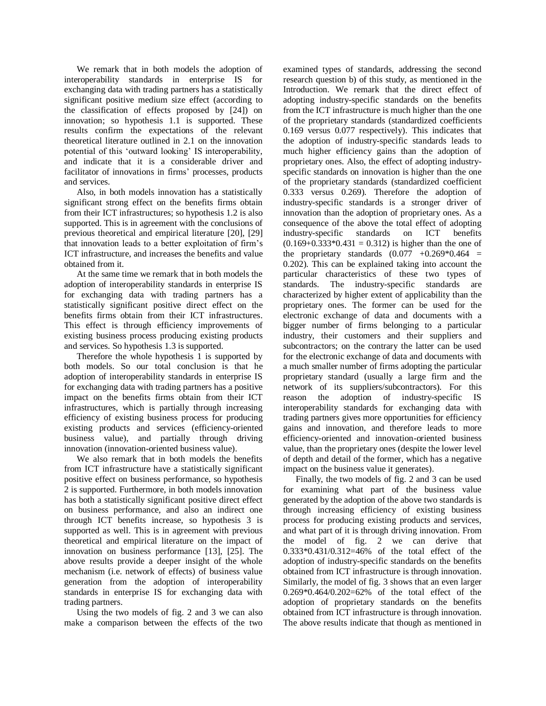We remark that in both models the adoption of interoperability standards in enterprise IS for exchanging data with trading partners has a statistically significant positive medium size effect (according to the classification of effects proposed by [24]) on innovation; so hypothesis 1.1 is supported. These results confirm the expectations of the relevant theoretical literature outlined in 2.1 on the innovation potential of this "outward looking" IS interoperability, and indicate that it is a considerable driver and facilitator of innovations in firms' processes, products and services.

Also, in both models innovation has a statistically significant strong effect on the benefits firms obtain from their ICT infrastructures; so hypothesis 1.2 is also supported. This is in agreement with the conclusions of previous theoretical and empirical literature [20], [29] that innovation leads to a better exploitation of firm"s ICT infrastructure, and increases the benefits and value obtained from it.

At the same time we remark that in both models the adoption of interoperability standards in enterprise IS for exchanging data with trading partners has a statistically significant positive direct effect on the benefits firms obtain from their ICT infrastructures. This effect is through efficiency improvements of existing business process producing existing products and services. So hypothesis 1.3 is supported.

Therefore the whole hypothesis 1 is supported by both models. So our total conclusion is that he adoption of interoperability standards in enterprise IS for exchanging data with trading partners has a positive impact on the benefits firms obtain from their ICT infrastructures, which is partially through increasing efficiency of existing business process for producing existing products and services (efficiency-oriented business value), and partially through driving innovation (innovation-oriented business value).

We also remark that in both models the benefits from ICT infrastructure have a statistically significant positive effect on business performance, so hypothesis 2 is supported. Furthermore, in both models innovation has both a statistically significant positive direct effect on business performance, and also an indirect one through ICT benefits increase, so hypothesis 3 is supported as well. This is in agreement with previous theoretical and empirical literature on the impact of innovation on business performance [13], [25]. The above results provide a deeper insight of the whole mechanism (i.e. network of effects) of business value generation from the adoption of interoperability standards in enterprise IS for exchanging data with trading partners.

Using the two models of fig. 2 and 3 we can also make a comparison between the effects of the two

examined types of standards, addressing the second research question b) of this study, as mentioned in the Introduction. We remark that the direct effect of adopting industry-specific standards on the benefits from the ICT infrastructure is much higher than the one of the proprietary standards (standardized coefficients 0.169 versus 0.077 respectively). This indicates that the adoption of industry-specific standards leads to much higher efficiency gains than the adoption of proprietary ones. Also, the effect of adopting industryspecific standards on innovation is higher than the one of the proprietary standards (standardized coefficient 0.333 versus 0.269). Therefore the adoption of industry-specific standards is a stronger driver of innovation than the adoption of proprietary ones. As a consequence of the above the total effect of adopting industry-specific standards on ICT benefits  $(0.169+0.333*0.431 = 0.312)$  is higher than the one of the proprietary standards  $(0.077 +0.269*0.464 =$ 0.202). This can be explained taking into account the particular characteristics of these two types of standards. The industry-specific standards are characterized by higher extent of applicability than the proprietary ones. The former can be used for the electronic exchange of data and documents with a bigger number of firms belonging to a particular industry, their customers and their suppliers and subcontractors; on the contrary the latter can be used for the electronic exchange of data and documents with a much smaller number of firms adopting the particular proprietary standard (usually a large firm and the network of its suppliers/subcontractors). For this reason the adoption of industry-specific IS interoperability standards for exchanging data with trading partners gives more opportunities for efficiency gains and innovation, and therefore leads to more efficiency-oriented and innovation-oriented business value, than the proprietary ones (despite the lower level of depth and detail of the former, which has a negative impact on the business value it generates).

Finally, the two models of fig. 2 and 3 can be used for examining what part of the business value generated by the adoption of the above two standards is through increasing efficiency of existing business process for producing existing products and services, and what part of it is through driving innovation. From the model of fig. 2 we can derive that 0.333\*0.431/0.312=46% of the total effect of the adoption of industry-specific standards on the benefits obtained from ICT infrastructure is through innovation. Similarly, the model of fig. 3 shows that an even larger 0.269\*0.464/0.202=62% of the total effect of the adoption of proprietary standards on the benefits obtained from ICT infrastructure is through innovation. The above results indicate that though as mentioned in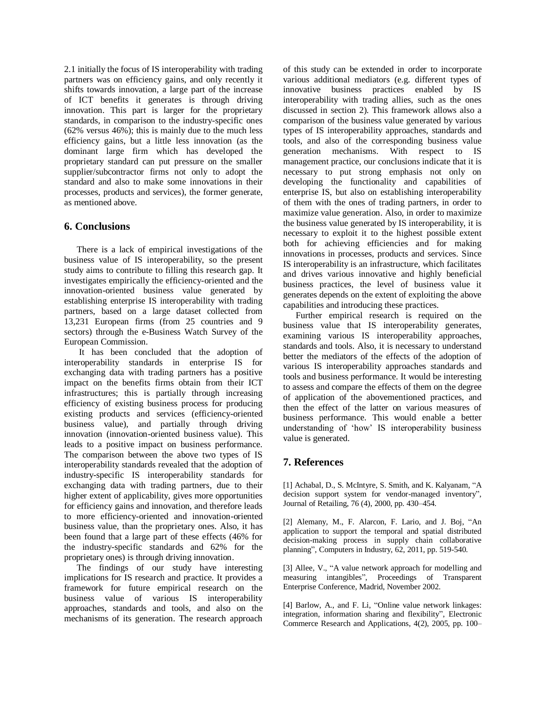2.1 initially the focus of IS interoperability with trading partners was on efficiency gains, and only recently it shifts towards innovation, a large part of the increase of ICT benefits it generates is through driving innovation. This part is larger for the proprietary standards, in comparison to the industry-specific ones (62% versus 46%); this is mainly due to the much less efficiency gains, but a little less innovation (as the dominant large firm which has developed the proprietary standard can put pressure on the smaller supplier/subcontractor firms not only to adopt the standard and also to make some innovations in their processes, products and services), the former generate, as mentioned above.

## **6. Conclusions**

There is a lack of empirical investigations of the business value of IS interoperability, so the present study aims to contribute to filling this research gap. It investigates empirically the efficiency-oriented and the innovation-oriented business value generated by establishing enterprise IS interoperability with trading partners, based on a large dataset collected from 13,231 European firms (from 25 countries and 9 sectors) through the e-Business Watch Survey of the European Commission.

It has been concluded that the adoption of interoperability standards in enterprise IS for exchanging data with trading partners has a positive impact on the benefits firms obtain from their ICT infrastructures; this is partially through increasing efficiency of existing business process for producing existing products and services (efficiency-oriented business value), and partially through driving innovation (innovation-oriented business value). This leads to a positive impact on business performance. The comparison between the above two types of IS interoperability standards revealed that the adoption of industry-specific IS interoperability standards for exchanging data with trading partners, due to their higher extent of applicability, gives more opportunities for efficiency gains and innovation, and therefore leads to more efficiency-oriented and innovation-oriented business value, than the proprietary ones. Also, it has been found that a large part of these effects (46% for the industry-specific standards and 62% for the proprietary ones) is through driving innovation.

The findings of our study have interesting implications for IS research and practice. It provides a framework for future empirical research on the business value of various IS interoperability approaches, standards and tools, and also on the mechanisms of its generation. The research approach

of this study can be extended in order to incorporate various additional mediators (e.g. different types of innovative business practices enabled by IS interoperability with trading allies, such as the ones discussed in section 2). This framework allows also a comparison of the business value generated by various types of IS interoperability approaches, standards and tools, and also of the corresponding business value generation mechanisms. With respect to IS management practice, our conclusions indicate that it is necessary to put strong emphasis not only on developing the functionality and capabilities of enterprise IS, but also on establishing interoperability of them with the ones of trading partners, in order to maximize value generation. Also, in order to maximize the business value generated by IS interoperability, it is necessary to exploit it to the highest possible extent both for achieving efficiencies and for making innovations in processes, products and services. Since IS interoperability is an infrastructure, which facilitates and drives various innovative and highly beneficial business practices, the level of business value it generates depends on the extent of exploiting the above capabilities and introducing these practices.

Further empirical research is required on the business value that IS interoperability generates, examining various IS interoperability approaches, standards and tools. Also, it is necessary to understand better the mediators of the effects of the adoption of various IS interoperability approaches standards and tools and business performance. It would be interesting to assess and compare the effects of them on the degree of application of the abovementioned practices, and then the effect of the latter on various measures of business performance. This would enable a better understanding of "how" IS interoperability business value is generated.

## **7. References**

[1] Achabal, D., S. McIntyre, S. Smith, and K. Kalyanam, "A decision support system for vendor-managed inventory", Journal of Retailing, 76 (4), 2000, pp. 430–454.

[2] Alemany, M., F. Alarcon, F. Lario, and J. Boj, "An application to support the temporal and spatial distributed decision-making process in supply chain collaborative planning", Computers in Industry, 62, 2011, pp. 519-540.

[3] Allee, V., "A value network approach for modelling and measuring intangibles", Proceedings of Transparent Enterprise Conference, Madrid, November 2002.

[4] Barlow, A., and F. Li, "Online value network linkages: integration, information sharing and flexibility", Electronic Commerce Research and Applications, 4(2), 2005, pp. 100–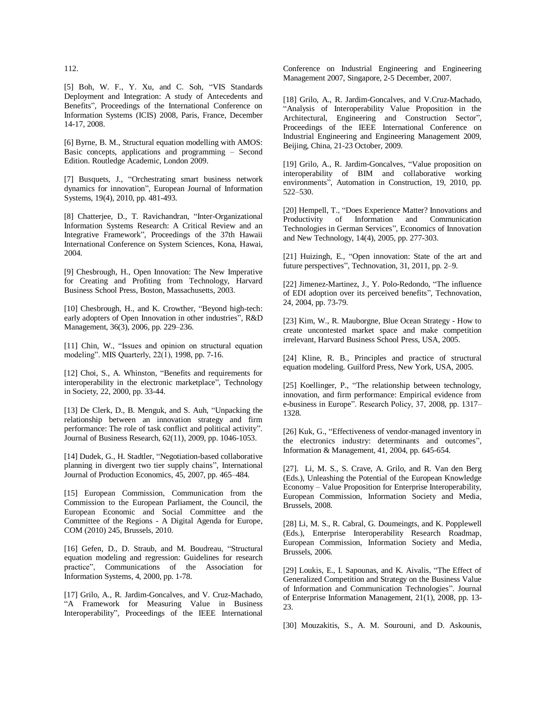[5] Boh, W. F., Y. Xu, and C. Soh, "VIS Standards Deployment and Integration: A study of Antecedents and Benefits", Proceedings of the International Conference on Information Systems (ICIS) 2008, Paris, France, December 14-17, 2008.

[6] Byrne, B. M., Structural equation modelling with AMOS: Basic concepts, applications and programming – Second Edition. Routledge Academic, London 2009.

[7] Busquets, J., "Orchestrating smart business network dynamics for innovation", European Journal of Information Systems, 19(4), 2010, pp. 481-493.

[8] Chatterjee, D., T. Ravichandran, "Inter-Organizational Information Systems Research: A Critical Review and an Integrative Framework", Proceedings of the 37th Hawaii International Conference on System Sciences, Kona, Hawai, 2004.

[9] Chesbrough, H., Open Innovation: The New Imperative for Creating and Profiting from Technology, Harvard Business School Press, Boston, Massachusetts, 2003.

[10] Chesbrough, H., and K. Crowther, "Beyond high-tech: early adopters of Open Innovation in other industries", R&D Management, 36(3), 2006, pp. 229–236.

[11] Chin, W., "Issues and opinion on structural equation modeling". MIS Quarterly, 22(1), 1998, pp. 7-16.

[12] Choi, S., A. Whinston, "Benefits and requirements for interoperability in the electronic marketplace<sup>2</sup>, Technology in Society, 22, 2000, pp. 33-44.

[13] De Clerk, D., B. Menguk, and S. Auh, "Unpacking the relationship between an innovation strategy and firm performance: The role of task conflict and political activity". Journal of Business Research, 62(11), 2009, pp. 1046-1053.

[14] Dudek, G., H. Stadtler, "Negotiation-based collaborative planning in divergent two tier supply chains", International Journal of Production Economics, 45, 2007, pp. 465–484.

[15] European Commission, Communication from the Commission to the European Parliament, the Council, the European Economic and Social Committee and the Committee of the Regions - A Digital Agenda for Europe, COM (2010) 245, Brussels, 2010.

[16] Gefen, D., D. Straub, and M. Boudreau, "Structural equation modeling and regression: Guidelines for research practice", Communications of the Association for Information Systems, 4, 2000, pp. 1-78.

[17] Grilo, A., R. Jardim-Goncalves, and V. Cruz-Machado, "A Framework for Measuring Value in Business Interoperability", Proceedings of the IEEE International Conference on Industrial Engineering and Engineering Management 2007, Singapore, 2-5 December, 2007.

[18] Grilo, A., R. Jardim-Goncalves, and V.Cruz-Machado, "Analysis of Interoperability Value Proposition in the Architectural, Engineering and Construction Sector", Proceedings of the IEEE International Conference on Industrial Engineering and Engineering Management 2009, Beijing, China, 21-23 October, 2009.

[19] Grilo, A., R. Jardim-Goncalves, "Value proposition on interoperability of BIM and collaborative working environments", Automation in Construction, 19, 2010, pp. 522–530.

[20] Hempell, T., "Does Experience Matter? Innovations and Productivity of Information and Communication Technologies in German Services", Economics of Innovation and New Technology, 14(4), 2005, pp. 277-303.

[21] Huizingh, E., "Open innovation: State of the art and future perspectives", Technovation, 31, 2011, pp. 2–9.

[22] Jimenez-Martinez, J., Y. Polo-Redondo, "The influence of EDI adoption over its perceived benefits", Technovation, 24, 2004, pp. 73-79.

[23] Kim, W., R. Mauborgne, Blue Ocean Strategy - How to create uncontested market space and make competition irrelevant, Harvard Business School Press, USA, 2005.

[24] Kline, R. B., Principles and practice of structural equation modeling. Guilford Press, New York, USA, 2005.

[25] Koellinger, P., "The relationship between technology, innovation, and firm performance: Empirical evidence from e-business in Europe". Research Policy, 37, 2008, pp. 1317– 1328.

[26] Kuk, G., "Effectiveness of vendor-managed inventory in the electronics industry: determinants and outcomes", Information & Management, 41, 2004, pp. 645-654.

[27]. Li, M. S., S. Crave, A. Grilo, and R. Van den Berg (Eds.), Unleashing the Potential of the European Knowledge Economy – Value Proposition for Enterprise Interoperability, European Commission, Information Society and Media, Brussels, 2008.

[28] Li, M. S., R. Cabral, G. Doumeingts, and K. Popplewell (Eds.), Enterprise Interoperability Research Roadmap, European Commission, Information Society and Media, Brussels, 2006.

[29] Loukis, E., I. Sapounas, and K. Aivalis, "The Effect of Generalized Competition and Strategy on the Business Value of Information and Communication Technologies". Journal of Enterprise Information Management, 21(1), 2008, pp. 13- 23.

[30] Mouzakitis, S., A. M. Sourouni, and D. Askounis,

#### 112.